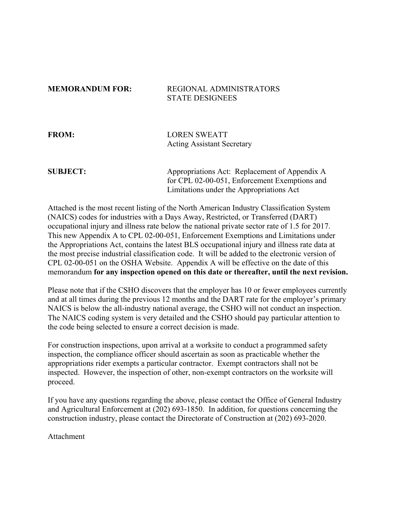## **MEMORANDUM FOR: REGIONAL ADMINISTRATORS** STATE DESIGNEES

**FROM:** LOREN SWEATT Acting Assistant Secretary

**SUBJECT:** Appropriations Act: Replacement of Appendix A for CPL 02-00-051, Enforcement Exemptions and Limitations under the Appropriations Act

Attached is the most recent listing of the North American Industry Classification System (NAICS) codes for industries with a Days Away, Restricted, or Transferred (DART) occupational injury and illness rate below the national private sector rate of 1.5 for 2017. This new Appendix A to CPL 02-00-051, Enforcement Exemptions and Limitations under the Appropriations Act, contains the latest BLS occupational injury and illness rate data at the most precise industrial classification code. It will be added to the electronic version of CPL 02-00-051 on the OSHA Website. Appendix A will be effective on the date of this memorandum **for any inspection opened on this date or thereafter, until the next revision.**

Please note that if the CSHO discovers that the employer has 10 or fewer employees currently and at all times during the previous 12 months and the DART rate for the employer's primary NAICS is below the all-industry national average, the CSHO will not conduct an inspection. The NAICS coding system is very detailed and the CSHO should pay particular attention to the code being selected to ensure a correct decision is made.

For construction inspections, upon arrival at a worksite to conduct a programmed safety inspection, the compliance officer should ascertain as soon as practicable whether the appropriations rider exempts a particular contractor. Exempt contractors shall not be inspected. However, the inspection of other, non-exempt contractors on the worksite will proceed.

If you have any questions regarding the above, please contact the Office of General Industry and Agricultural Enforcement at (202) 693-1850. In addition, for questions concerning the construction industry, please contact the Directorate of Construction at (202) 693-2020.

Attachment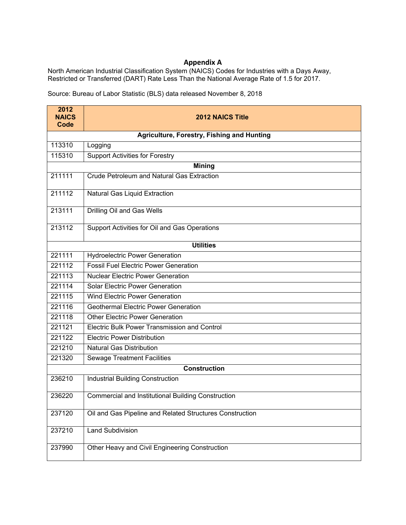## **Appendix A**

North American Industrial Classification System (NAICS) Codes for Industries with a Days Away, Restricted or Transferred (DART) Rate Less Than the National Average Rate of 1.5 for 2017.

Source: Bureau of Labor Statistic (BLS) data released November 8, 2018

| 2012<br><b>NAICS</b> | <b>2012 NAICS Title</b>                                   |
|----------------------|-----------------------------------------------------------|
| Code                 |                                                           |
|                      | Agriculture, Forestry, Fishing and Hunting                |
| 113310               | Logging                                                   |
| 115310               | <b>Support Activities for Forestry</b>                    |
|                      | <b>Mining</b>                                             |
| 211111               | Crude Petroleum and Natural Gas Extraction                |
| 211112               | Natural Gas Liquid Extraction                             |
| 213111               | Drilling Oil and Gas Wells                                |
| 213112               | Support Activities for Oil and Gas Operations             |
|                      | <b>Utilities</b>                                          |
| 221111               | <b>Hydroelectric Power Generation</b>                     |
| 221112               | <b>Fossil Fuel Electric Power Generation</b>              |
| 221113               | <b>Nuclear Electric Power Generation</b>                  |
| 221114               | <b>Solar Electric Power Generation</b>                    |
| 221115               | <b>Wind Electric Power Generation</b>                     |
| 221116               | <b>Geothermal Electric Power Generation</b>               |
| 221118               | <b>Other Electric Power Generation</b>                    |
| 221121               | Electric Bulk Power Transmission and Control              |
| 221122               | <b>Electric Power Distribution</b>                        |
| 221210               | <b>Natural Gas Distribution</b>                           |
| 221320               | <b>Sewage Treatment Facilities</b>                        |
|                      | <b>Construction</b>                                       |
| 236210               | <b>Industrial Building Construction</b>                   |
| 236220               | <b>Commercial and Institutional Building Construction</b> |
| 237120               | Oil and Gas Pipeline and Related Structures Construction  |
| 237210               | <b>Land Subdivision</b>                                   |
| 237990               | Other Heavy and Civil Engineering Construction            |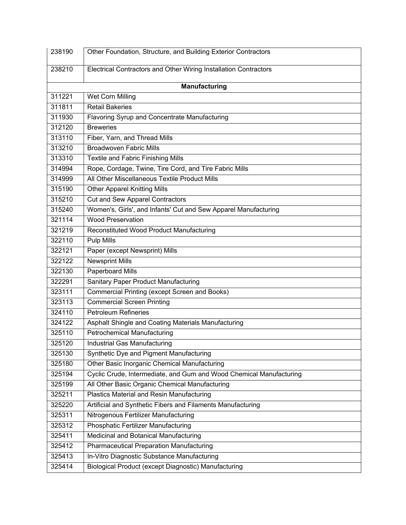| 238190 | Other Foundation, Structure, and Building Exterior Contractors      |
|--------|---------------------------------------------------------------------|
| 238210 | Electrical Contractors and Other Wiring Installation Contractors    |
|        |                                                                     |
|        | <b>Manufacturing</b>                                                |
| 311221 | Wet Corn Milling                                                    |
| 311811 | <b>Retail Bakeries</b>                                              |
| 311930 | Flavoring Syrup and Concentrate Manufacturing                       |
| 312120 | <b>Breweries</b>                                                    |
| 313110 | Fiber, Yarn, and Thread Mills                                       |
| 313210 | <b>Broadwoven Fabric Mills</b>                                      |
| 313310 | <b>Textile and Fabric Finishing Mills</b>                           |
| 314994 | Rope, Cordage, Twine, Tire Cord, and Tire Fabric Mills              |
| 314999 | All Other Miscellaneous Textile Product Mills                       |
| 315190 | <b>Other Apparel Knitting Mills</b>                                 |
| 315210 | Cut and Sew Apparel Contractors                                     |
| 315240 | Women's, Girls', and Infants' Cut and Sew Apparel Manufacturing     |
| 321114 | <b>Wood Preservation</b>                                            |
| 321219 | Reconstituted Wood Product Manufacturing                            |
| 322110 | <b>Pulp Mills</b>                                                   |
| 322121 | Paper (except Newsprint) Mills                                      |
| 322122 | <b>Newsprint Mills</b>                                              |
| 322130 | Paperboard Mills                                                    |
| 322291 | Sanitary Paper Product Manufacturing                                |
| 323111 | <b>Commercial Printing (except Screen and Books)</b>                |
| 323113 | <b>Commercial Screen Printing</b>                                   |
| 324110 | <b>Petroleum Refineries</b>                                         |
| 324122 | Asphalt Shingle and Coating Materials Manufacturing                 |
| 325110 | <b>Petrochemical Manufacturing</b>                                  |
| 325120 | Industrial Gas Manufacturing                                        |
| 325130 | Synthetic Dye and Pigment Manufacturing                             |
| 325180 | Other Basic Inorganic Chemical Manufacturing                        |
| 325194 | Cyclic Crude, Intermediate, and Gum and Wood Chemical Manufacturing |
| 325199 | All Other Basic Organic Chemical Manufacturing                      |
| 325211 | <b>Plastics Material and Resin Manufacturing</b>                    |
| 325220 | Artificial and Synthetic Fibers and Filaments Manufacturing         |
| 325311 | Nitrogenous Fertilizer Manufacturing                                |
| 325312 | Phosphatic Fertilizer Manufacturing                                 |
| 325411 | Medicinal and Botanical Manufacturing                               |
| 325412 | <b>Pharmaceutical Preparation Manufacturing</b>                     |
| 325413 | In-Vitro Diagnostic Substance Manufacturing                         |
| 325414 | Biological Product (except Diagnostic) Manufacturing                |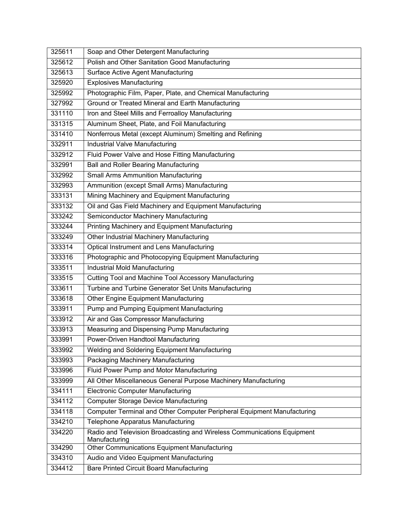| 325611 | Soap and Other Detergent Manufacturing                                                   |
|--------|------------------------------------------------------------------------------------------|
| 325612 | Polish and Other Sanitation Good Manufacturing                                           |
| 325613 | Surface Active Agent Manufacturing                                                       |
| 325920 | <b>Explosives Manufacturing</b>                                                          |
| 325992 | Photographic Film, Paper, Plate, and Chemical Manufacturing                              |
| 327992 | Ground or Treated Mineral and Earth Manufacturing                                        |
| 331110 | Iron and Steel Mills and Ferroalloy Manufacturing                                        |
| 331315 | Aluminum Sheet, Plate, and Foil Manufacturing                                            |
| 331410 | Nonferrous Metal (except Aluminum) Smelting and Refining                                 |
| 332911 | <b>Industrial Valve Manufacturing</b>                                                    |
| 332912 | Fluid Power Valve and Hose Fitting Manufacturing                                         |
| 332991 | Ball and Roller Bearing Manufacturing                                                    |
| 332992 | <b>Small Arms Ammunition Manufacturing</b>                                               |
| 332993 | Ammunition (except Small Arms) Manufacturing                                             |
| 333131 | Mining Machinery and Equipment Manufacturing                                             |
| 333132 | Oil and Gas Field Machinery and Equipment Manufacturing                                  |
| 333242 | Semiconductor Machinery Manufacturing                                                    |
| 333244 | Printing Machinery and Equipment Manufacturing                                           |
| 333249 | Other Industrial Machinery Manufacturing                                                 |
| 333314 | <b>Optical Instrument and Lens Manufacturing</b>                                         |
| 333316 | Photographic and Photocopying Equipment Manufacturing                                    |
| 333511 | Industrial Mold Manufacturing                                                            |
| 333515 | Cutting Tool and Machine Tool Accessory Manufacturing                                    |
| 333611 | Turbine and Turbine Generator Set Units Manufacturing                                    |
| 333618 | Other Engine Equipment Manufacturing                                                     |
| 333911 | Pump and Pumping Equipment Manufacturing                                                 |
| 333912 | Air and Gas Compressor Manufacturing                                                     |
| 333913 | Measuring and Dispensing Pump Manufacturing                                              |
| 333991 | Power-Driven Handtool Manufacturing                                                      |
| 333992 | Welding and Soldering Equipment Manufacturing                                            |
| 333993 | Packaging Machinery Manufacturing                                                        |
| 333996 | Fluid Power Pump and Motor Manufacturing                                                 |
| 333999 | All Other Miscellaneous General Purpose Machinery Manufacturing                          |
| 334111 | <b>Electronic Computer Manufacturing</b>                                                 |
| 334112 | <b>Computer Storage Device Manufacturing</b>                                             |
| 334118 | Computer Terminal and Other Computer Peripheral Equipment Manufacturing                  |
| 334210 | Telephone Apparatus Manufacturing                                                        |
| 334220 | Radio and Television Broadcasting and Wireless Communications Equipment<br>Manufacturing |
| 334290 | Other Communications Equipment Manufacturing                                             |
| 334310 | Audio and Video Equipment Manufacturing                                                  |
| 334412 | <b>Bare Printed Circuit Board Manufacturing</b>                                          |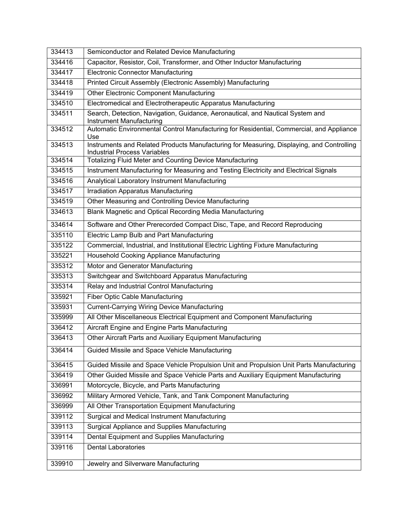| 334413 | Semiconductor and Related Device Manufacturing                                                                                   |
|--------|----------------------------------------------------------------------------------------------------------------------------------|
| 334416 | Capacitor, Resistor, Coil, Transformer, and Other Inductor Manufacturing                                                         |
| 334417 | <b>Electronic Connector Manufacturing</b>                                                                                        |
| 334418 | Printed Circuit Assembly (Electronic Assembly) Manufacturing                                                                     |
| 334419 | Other Electronic Component Manufacturing                                                                                         |
| 334510 | Electromedical and Electrotherapeutic Apparatus Manufacturing                                                                    |
| 334511 | Search, Detection, Navigation, Guidance, Aeronautical, and Nautical System and<br>Instrument Manufacturing                       |
| 334512 | Automatic Environmental Control Manufacturing for Residential, Commercial, and Appliance<br>Use                                  |
| 334513 | Instruments and Related Products Manufacturing for Measuring, Displaying, and Controlling<br><b>Industrial Process Variables</b> |
| 334514 | <b>Totalizing Fluid Meter and Counting Device Manufacturing</b>                                                                  |
| 334515 | Instrument Manufacturing for Measuring and Testing Electricity and Electrical Signals                                            |
| 334516 | Analytical Laboratory Instrument Manufacturing                                                                                   |
| 334517 | <b>Irradiation Apparatus Manufacturing</b>                                                                                       |
| 334519 | Other Measuring and Controlling Device Manufacturing                                                                             |
| 334613 | Blank Magnetic and Optical Recording Media Manufacturing                                                                         |
| 334614 | Software and Other Prerecorded Compact Disc, Tape, and Record Reproducing                                                        |
| 335110 | Electric Lamp Bulb and Part Manufacturing                                                                                        |
| 335122 | Commercial, Industrial, and Institutional Electric Lighting Fixture Manufacturing                                                |
| 335221 | Household Cooking Appliance Manufacturing                                                                                        |
| 335312 | Motor and Generator Manufacturing                                                                                                |
| 335313 | Switchgear and Switchboard Apparatus Manufacturing                                                                               |
| 335314 | Relay and Industrial Control Manufacturing                                                                                       |
| 335921 | <b>Fiber Optic Cable Manufacturing</b>                                                                                           |
| 335931 | <b>Current-Carrying Wiring Device Manufacturing</b>                                                                              |
| 335999 | All Other Miscellaneous Electrical Equipment and Component Manufacturing                                                         |
| 336412 | Aircraft Engine and Engine Parts Manufacturing                                                                                   |
| 336413 | Other Aircraft Parts and Auxiliary Equipment Manufacturing                                                                       |
| 336414 | Guided Missile and Space Vehicle Manufacturing                                                                                   |
| 336415 | Guided Missile and Space Vehicle Propulsion Unit and Propulsion Unit Parts Manufacturing                                         |
| 336419 | Other Guided Missile and Space Vehicle Parts and Auxiliary Equipment Manufacturing                                               |
| 336991 | Motorcycle, Bicycle, and Parts Manufacturing                                                                                     |
| 336992 | Military Armored Vehicle, Tank, and Tank Component Manufacturing                                                                 |
| 336999 | All Other Transportation Equipment Manufacturing                                                                                 |
| 339112 | Surgical and Medical Instrument Manufacturing                                                                                    |
| 339113 | Surgical Appliance and Supplies Manufacturing                                                                                    |
| 339114 | Dental Equipment and Supplies Manufacturing                                                                                      |
| 339116 | <b>Dental Laboratories</b>                                                                                                       |
| 339910 | Jewelry and Silverware Manufacturing                                                                                             |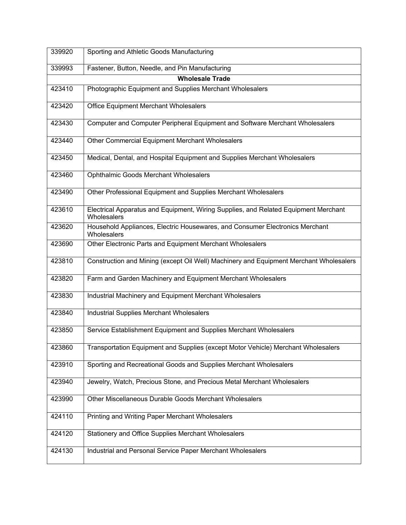| 339920 | Sporting and Athletic Goods Manufacturing                                                          |
|--------|----------------------------------------------------------------------------------------------------|
| 339993 | Fastener, Button, Needle, and Pin Manufacturing                                                    |
|        | <b>Wholesale Trade</b>                                                                             |
| 423410 | Photographic Equipment and Supplies Merchant Wholesalers                                           |
| 423420 | <b>Office Equipment Merchant Wholesalers</b>                                                       |
| 423430 | Computer and Computer Peripheral Equipment and Software Merchant Wholesalers                       |
| 423440 | Other Commercial Equipment Merchant Wholesalers                                                    |
| 423450 | Medical, Dental, and Hospital Equipment and Supplies Merchant Wholesalers                          |
| 423460 | Ophthalmic Goods Merchant Wholesalers                                                              |
| 423490 | Other Professional Equipment and Supplies Merchant Wholesalers                                     |
| 423610 | Electrical Apparatus and Equipment, Wiring Supplies, and Related Equipment Merchant<br>Wholesalers |
| 423620 | Household Appliances, Electric Housewares, and Consumer Electronics Merchant<br>Wholesalers        |
| 423690 | Other Electronic Parts and Equipment Merchant Wholesalers                                          |
| 423810 | Construction and Mining (except Oil Well) Machinery and Equipment Merchant Wholesalers             |
| 423820 | Farm and Garden Machinery and Equipment Merchant Wholesalers                                       |
| 423830 | Industrial Machinery and Equipment Merchant Wholesalers                                            |
| 423840 | <b>Industrial Supplies Merchant Wholesalers</b>                                                    |
| 423850 | Service Establishment Equipment and Supplies Merchant Wholesalers                                  |
| 423860 | Transportation Equipment and Supplies (except Motor Vehicle) Merchant Wholesalers                  |
| 423910 | Sporting and Recreational Goods and Supplies Merchant Wholesalers                                  |
| 423940 | Jewelry, Watch, Precious Stone, and Precious Metal Merchant Wholesalers                            |
| 423990 | Other Miscellaneous Durable Goods Merchant Wholesalers                                             |
| 424110 | Printing and Writing Paper Merchant Wholesalers                                                    |
| 424120 | Stationery and Office Supplies Merchant Wholesalers                                                |
| 424130 | Industrial and Personal Service Paper Merchant Wholesalers                                         |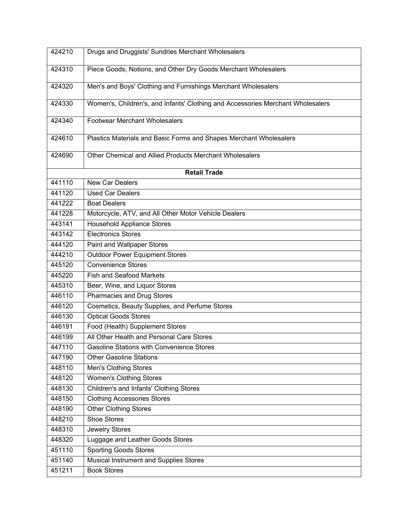| 424210 | Drugs and Druggists' Sundries Merchant Wholesalers                              |
|--------|---------------------------------------------------------------------------------|
| 424310 | Piece Goods, Notions, and Other Dry Goods Merchant Wholesalers                  |
|        |                                                                                 |
| 424320 | Men's and Boys' Clothing and Furnishings Merchant Wholesalers                   |
| 424330 | Women's, Children's, and Infants' Clothing and Accessories Merchant Wholesalers |
| 424340 | <b>Footwear Merchant Wholesalers</b>                                            |
| 424610 | Plastics Materials and Basic Forms and Shapes Merchant Wholesalers              |
| 424690 | Other Chemical and Allied Products Merchant Wholesalers                         |
|        | <b>Retail Trade</b>                                                             |
| 441110 | New Car Dealers                                                                 |
| 441120 | <b>Used Car Dealers</b>                                                         |
| 441222 | <b>Boat Dealers</b>                                                             |
| 441228 | Motorcycle, ATV, and All Other Motor Vehicle Dealers                            |
| 443141 | <b>Household Appliance Stores</b>                                               |
| 443142 | <b>Electronics Stores</b>                                                       |
| 444120 | Paint and Wallpaper Stores                                                      |
| 444210 | <b>Outdoor Power Equipment Stores</b>                                           |
| 445120 | <b>Convenience Stores</b>                                                       |
| 445220 | <b>Fish and Seafood Markets</b>                                                 |
| 445310 | Beer, Wine, and Liquor Stores                                                   |
| 446110 | Pharmacies and Drug Stores                                                      |
| 446120 | Cosmetics, Beauty Supplies, and Perfume Stores                                  |
| 446130 | <b>Optical Goods Stores</b>                                                     |
| 446191 | Food (Health) Supplement Stores                                                 |
| 446199 | All Other Health and Personal Care Stores                                       |
| 447110 | <b>Gasoline Stations with Convenience Stores</b>                                |
| 447190 | <b>Other Gasoline Stations</b>                                                  |
| 448110 | <b>Men's Clothing Stores</b>                                                    |
| 448120 | Women's Clothing Stores                                                         |
| 448130 | Children's and Infants' Clothing Stores                                         |
| 448150 | <b>Clothing Accessories Stores</b>                                              |
| 448190 | <b>Other Clothing Stores</b>                                                    |
| 448210 | <b>Shoe Stores</b>                                                              |
| 448310 | Jewelry Stores                                                                  |
| 448320 | Luggage and Leather Goods Stores                                                |
| 451110 | <b>Sporting Goods Stores</b>                                                    |
| 451140 | Musical Instrument and Supplies Stores                                          |
| 451211 | <b>Book Stores</b>                                                              |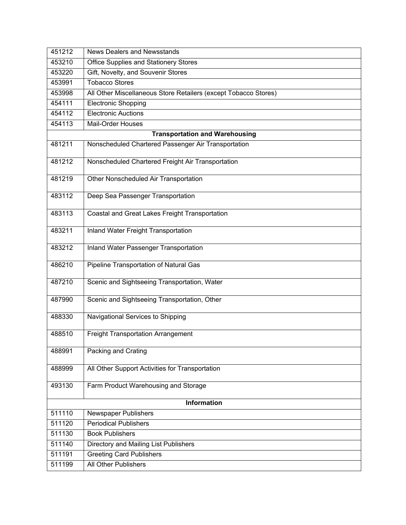| 451212             | News Dealers and Newsstands                                     |
|--------------------|-----------------------------------------------------------------|
| 453210             | Office Supplies and Stationery Stores                           |
| 453220             | Gift, Novelty, and Souvenir Stores                              |
| 453991             | <b>Tobacco Stores</b>                                           |
| 453998             | All Other Miscellaneous Store Retailers (except Tobacco Stores) |
| 454111             | <b>Electronic Shopping</b>                                      |
| 454112             | <b>Electronic Auctions</b>                                      |
| 454113             | <b>Mail-Order Houses</b>                                        |
|                    | <b>Transportation and Warehousing</b>                           |
| 481211             | Nonscheduled Chartered Passenger Air Transportation             |
| 481212             | Nonscheduled Chartered Freight Air Transportation               |
| 481219             | Other Nonscheduled Air Transportation                           |
| 483112             | Deep Sea Passenger Transportation                               |
| 483113             | Coastal and Great Lakes Freight Transportation                  |
| 483211             | Inland Water Freight Transportation                             |
| 483212             | <b>Inland Water Passenger Transportation</b>                    |
| 486210             | <b>Pipeline Transportation of Natural Gas</b>                   |
| 487210             | Scenic and Sightseeing Transportation, Water                    |
| 487990             | Scenic and Sightseeing Transportation, Other                    |
| 488330             | Navigational Services to Shipping                               |
| 488510             | <b>Freight Transportation Arrangement</b>                       |
| 488991             | Packing and Crating                                             |
| 488999             | All Other Support Activities for Transportation                 |
| 493130             | Farm Product Warehousing and Storage                            |
| <b>Information</b> |                                                                 |
| 511110             | Newspaper Publishers                                            |
| 511120             | <b>Periodical Publishers</b>                                    |
| 511130             | <b>Book Publishers</b>                                          |
| 511140             | Directory and Mailing List Publishers                           |
| 511191             | <b>Greeting Card Publishers</b>                                 |
| 511199             | <b>All Other Publishers</b>                                     |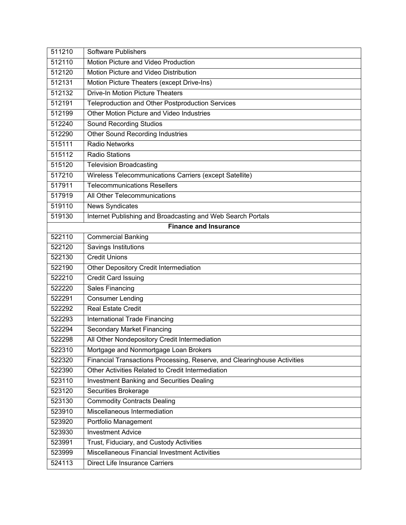| 511210 | Software Publishers                                                      |
|--------|--------------------------------------------------------------------------|
| 512110 | Motion Picture and Video Production                                      |
| 512120 | Motion Picture and Video Distribution                                    |
| 512131 | Motion Picture Theaters (except Drive-Ins)                               |
| 512132 | <b>Drive-In Motion Picture Theaters</b>                                  |
| 512191 | Teleproduction and Other Postproduction Services                         |
| 512199 | Other Motion Picture and Video Industries                                |
| 512240 | <b>Sound Recording Studios</b>                                           |
| 512290 | <b>Other Sound Recording Industries</b>                                  |
| 515111 | <b>Radio Networks</b>                                                    |
| 515112 | <b>Radio Stations</b>                                                    |
| 515120 | <b>Television Broadcasting</b>                                           |
| 517210 | Wireless Telecommunications Carriers (except Satellite)                  |
| 517911 | <b>Telecommunications Resellers</b>                                      |
| 517919 | All Other Telecommunications                                             |
| 519110 | <b>News Syndicates</b>                                                   |
| 519130 | Internet Publishing and Broadcasting and Web Search Portals              |
|        | <b>Finance and Insurance</b>                                             |
| 522110 | <b>Commercial Banking</b>                                                |
| 522120 | <b>Savings Institutions</b>                                              |
| 522130 | <b>Credit Unions</b>                                                     |
| 522190 | Other Depository Credit Intermediation                                   |
| 522210 | <b>Credit Card Issuing</b>                                               |
| 522220 | <b>Sales Financing</b>                                                   |
| 522291 | <b>Consumer Lending</b>                                                  |
| 522292 | <b>Real Estate Credit</b>                                                |
| 522293 | International Trade Financing                                            |
| 522294 | <b>Secondary Market Financing</b>                                        |
| 522298 | All Other Nondepository Credit Intermediation                            |
| 522310 | Mortgage and Nonmortgage Loan Brokers                                    |
| 522320 | Financial Transactions Processing, Reserve, and Clearinghouse Activities |
| 522390 | Other Activities Related to Credit Intermediation                        |
| 523110 | Investment Banking and Securities Dealing                                |
| 523120 | Securities Brokerage                                                     |
| 523130 | <b>Commodity Contracts Dealing</b>                                       |
| 523910 | Miscellaneous Intermediation                                             |
| 523920 | Portfolio Management                                                     |
| 523930 | <b>Investment Advice</b>                                                 |
| 523991 | Trust, Fiduciary, and Custody Activities                                 |
| 523999 | Miscellaneous Financial Investment Activities                            |
| 524113 | <b>Direct Life Insurance Carriers</b>                                    |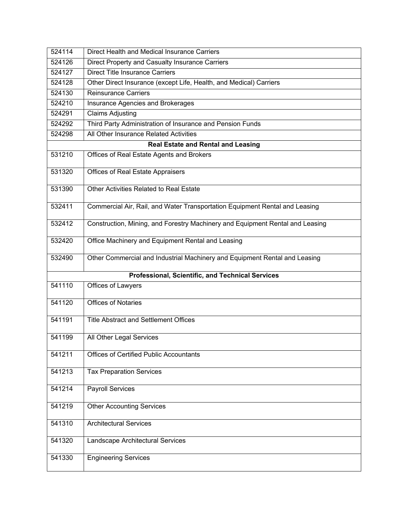| 524114 | Direct Health and Medical Insurance Carriers                                  |
|--------|-------------------------------------------------------------------------------|
| 524126 | Direct Property and Casualty Insurance Carriers                               |
| 524127 | <b>Direct Title Insurance Carriers</b>                                        |
| 524128 | Other Direct Insurance (except Life, Health, and Medical) Carriers            |
| 524130 | <b>Reinsurance Carriers</b>                                                   |
| 524210 | Insurance Agencies and Brokerages                                             |
| 524291 | <b>Claims Adjusting</b>                                                       |
| 524292 | Third Party Administration of Insurance and Pension Funds                     |
| 524298 | All Other Insurance Related Activities                                        |
|        | <b>Real Estate and Rental and Leasing</b>                                     |
| 531210 | Offices of Real Estate Agents and Brokers                                     |
| 531320 | Offices of Real Estate Appraisers                                             |
| 531390 | Other Activities Related to Real Estate                                       |
| 532411 | Commercial Air, Rail, and Water Transportation Equipment Rental and Leasing   |
| 532412 | Construction, Mining, and Forestry Machinery and Equipment Rental and Leasing |
| 532420 | Office Machinery and Equipment Rental and Leasing                             |
| 532490 | Other Commercial and Industrial Machinery and Equipment Rental and Leasing    |
|        | <b>Professional, Scientific, and Technical Services</b>                       |
| 541110 | Offices of Lawyers                                                            |
| 541120 | <b>Offices of Notaries</b>                                                    |
| 541191 | <b>Title Abstract and Settlement Offices</b>                                  |
| 541199 | All Other Legal Services                                                      |
| 541211 | <b>Offices of Certified Public Accountants</b>                                |
| 541213 | <b>Tax Preparation Services</b>                                               |
| 541214 | <b>Payroll Services</b>                                                       |
| 541219 | <b>Other Accounting Services</b>                                              |
| 541310 | <b>Architectural Services</b>                                                 |
| 541320 | Landscape Architectural Services                                              |
| 541330 | <b>Engineering Services</b>                                                   |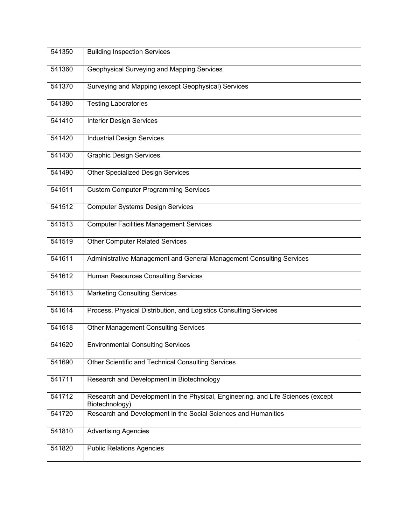| 541350 | <b>Building Inspection Services</b>                                                                |
|--------|----------------------------------------------------------------------------------------------------|
| 541360 | Geophysical Surveying and Mapping Services                                                         |
| 541370 | Surveying and Mapping (except Geophysical) Services                                                |
| 541380 | <b>Testing Laboratories</b>                                                                        |
| 541410 | <b>Interior Design Services</b>                                                                    |
| 541420 | <b>Industrial Design Services</b>                                                                  |
| 541430 | <b>Graphic Design Services</b>                                                                     |
| 541490 | <b>Other Specialized Design Services</b>                                                           |
| 541511 | <b>Custom Computer Programming Services</b>                                                        |
| 541512 | <b>Computer Systems Design Services</b>                                                            |
| 541513 | <b>Computer Facilities Management Services</b>                                                     |
| 541519 | <b>Other Computer Related Services</b>                                                             |
| 541611 | Administrative Management and General Management Consulting Services                               |
| 541612 | <b>Human Resources Consulting Services</b>                                                         |
| 541613 | <b>Marketing Consulting Services</b>                                                               |
| 541614 | Process, Physical Distribution, and Logistics Consulting Services                                  |
| 541618 | <b>Other Management Consulting Services</b>                                                        |
| 541620 | <b>Environmental Consulting Services</b>                                                           |
| 541690 | Other Scientific and Technical Consulting Services                                                 |
| 541711 | Research and Development in Biotechnology                                                          |
| 541712 | Research and Development in the Physical, Engineering, and Life Sciences (except<br>Biotechnology) |
| 541720 | Research and Development in the Social Sciences and Humanities                                     |
| 541810 | <b>Advertising Agencies</b>                                                                        |
| 541820 | <b>Public Relations Agencies</b>                                                                   |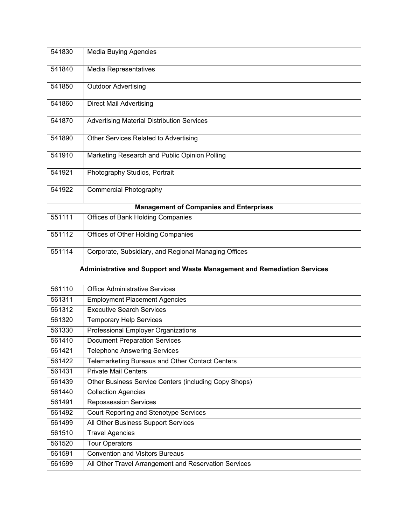| 541830                                                                   | <b>Media Buying Agencies</b>                          |
|--------------------------------------------------------------------------|-------------------------------------------------------|
| 541840                                                                   | Media Representatives                                 |
|                                                                          |                                                       |
| 541850                                                                   | <b>Outdoor Advertising</b>                            |
| 541860                                                                   | <b>Direct Mail Advertising</b>                        |
| 541870                                                                   | <b>Advertising Material Distribution Services</b>     |
| 541890                                                                   | Other Services Related to Advertising                 |
| 541910                                                                   | Marketing Research and Public Opinion Polling         |
| 541921                                                                   | Photography Studios, Portrait                         |
| 541922                                                                   | <b>Commercial Photography</b>                         |
|                                                                          | <b>Management of Companies and Enterprises</b>        |
| 551111                                                                   | <b>Offices of Bank Holding Companies</b>              |
| 551112                                                                   | Offices of Other Holding Companies                    |
| 551114                                                                   | Corporate, Subsidiary, and Regional Managing Offices  |
| Administrative and Support and Waste Management and Remediation Services |                                                       |
| 561110                                                                   | <b>Office Administrative Services</b>                 |
| 561311                                                                   | <b>Employment Placement Agencies</b>                  |
| 561312                                                                   | <b>Executive Search Services</b>                      |
| 561320                                                                   | <b>Temporary Help Services</b>                        |
| 561330                                                                   | <b>Professional Employer Organizations</b>            |
| 561410                                                                   | <b>Document Preparation Services</b>                  |
| 561421                                                                   | <b>Telephone Answering Services</b>                   |
| 561422                                                                   | Telemarketing Bureaus and Other Contact Centers       |
| 561431                                                                   | <b>Private Mail Centers</b>                           |
| 561439                                                                   | Other Business Service Centers (including Copy Shops) |
| 561440                                                                   | <b>Collection Agencies</b>                            |
| 561491                                                                   | <b>Repossession Services</b>                          |
| 561492                                                                   | Court Reporting and Stenotype Services                |
| 561499                                                                   | All Other Business Support Services                   |
| 561510                                                                   | <b>Travel Agencies</b>                                |
| 561520                                                                   | <b>Tour Operators</b>                                 |
| 561591                                                                   |                                                       |
|                                                                          | <b>Convention and Visitors Bureaus</b>                |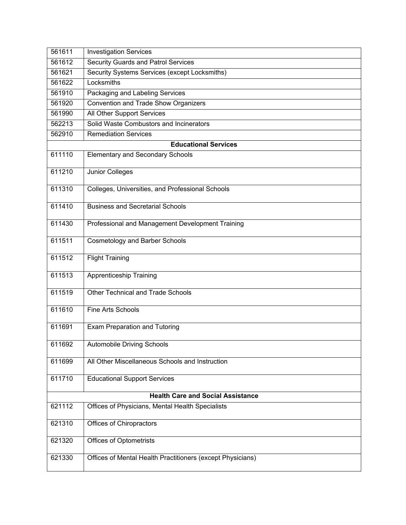| 561611                                   | <b>Investigation Services</b>                              |
|------------------------------------------|------------------------------------------------------------|
| 561612                                   | <b>Security Guards and Patrol Services</b>                 |
| 561621                                   | Security Systems Services (except Locksmiths)              |
| 561622                                   | Locksmiths                                                 |
| 561910                                   | Packaging and Labeling Services                            |
| 561920                                   | Convention and Trade Show Organizers                       |
| 561990                                   | All Other Support Services                                 |
| 562213                                   | Solid Waste Combustors and Incinerators                    |
| 562910                                   | <b>Remediation Services</b>                                |
|                                          | <b>Educational Services</b>                                |
| 611110                                   | <b>Elementary and Secondary Schools</b>                    |
| 611210                                   | Junior Colleges                                            |
| 611310                                   | Colleges, Universities, and Professional Schools           |
| 611410                                   | <b>Business and Secretarial Schools</b>                    |
| 611430                                   | Professional and Management Development Training           |
| 611511                                   | <b>Cosmetology and Barber Schools</b>                      |
| 611512                                   | <b>Flight Training</b>                                     |
| 611513                                   | Apprenticeship Training                                    |
| 611519                                   | <b>Other Technical and Trade Schools</b>                   |
| 611610                                   | Fine Arts Schools                                          |
| 611691                                   | Exam Preparation and Tutoring                              |
| 611692                                   | Automobile Driving Schools                                 |
| 611699                                   | All Other Miscellaneous Schools and Instruction            |
| 611710                                   | <b>Educational Support Services</b>                        |
| <b>Health Care and Social Assistance</b> |                                                            |
| 621112                                   | Offices of Physicians, Mental Health Specialists           |
| 621310                                   | Offices of Chiropractors                                   |
| 621320                                   | <b>Offices of Optometrists</b>                             |
| 621330                                   | Offices of Mental Health Practitioners (except Physicians) |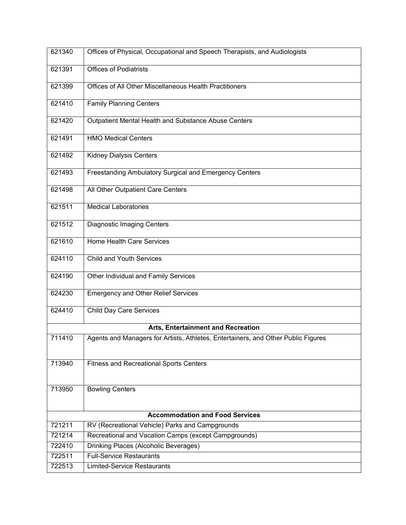| 621340                                 | Offices of Physical, Occupational and Speech Therapists, and Audiologists         |  |
|----------------------------------------|-----------------------------------------------------------------------------------|--|
| 621391                                 | <b>Offices of Podiatrists</b>                                                     |  |
| 621399                                 | Offices of All Other Miscellaneous Health Practitioners                           |  |
| 621410                                 | <b>Family Planning Centers</b>                                                    |  |
| 621420                                 | Outpatient Mental Health and Substance Abuse Centers                              |  |
| 621491                                 | <b>HMO Medical Centers</b>                                                        |  |
| 621492                                 | <b>Kidney Dialysis Centers</b>                                                    |  |
| 621493                                 | Freestanding Ambulatory Surgical and Emergency Centers                            |  |
| 621498                                 | All Other Outpatient Care Centers                                                 |  |
| 621511                                 | <b>Medical Laboratories</b>                                                       |  |
| 621512                                 | <b>Diagnostic Imaging Centers</b>                                                 |  |
| 621610                                 | Home Health Care Services                                                         |  |
| 624110                                 | <b>Child and Youth Services</b>                                                   |  |
| 624190                                 | Other Individual and Family Services                                              |  |
| 624230                                 | <b>Emergency and Other Relief Services</b>                                        |  |
| 624410                                 | <b>Child Day Care Services</b>                                                    |  |
| Arts, Entertainment and Recreation     |                                                                                   |  |
| 711410                                 | Agents and Managers for Artists, Athletes, Entertainers, and Other Public Figures |  |
| 713940                                 | <b>Fitness and Recreational Sports Centers</b>                                    |  |
| 713950                                 | <b>Bowling Centers</b>                                                            |  |
| <b>Accommodation and Food Services</b> |                                                                                   |  |
| 721211                                 | RV (Recreational Vehicle) Parks and Campgrounds                                   |  |
| 721214                                 | Recreational and Vacation Camps (except Campgrounds)                              |  |
| 722410                                 | Drinking Places (Alcoholic Beverages)                                             |  |
| 722511                                 | <b>Full-Service Restaurants</b>                                                   |  |
| 722513                                 | Limited-Service Restaurants                                                       |  |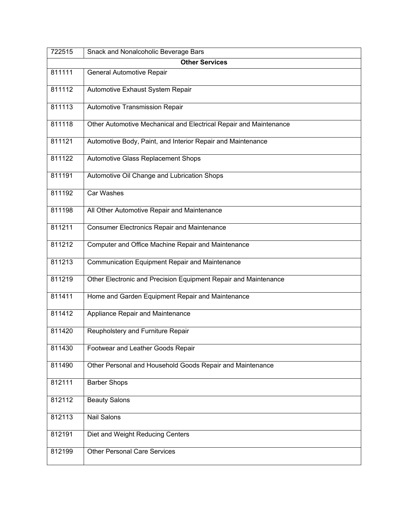| 722515                | Snack and Nonalcoholic Beverage Bars                              |  |
|-----------------------|-------------------------------------------------------------------|--|
| <b>Other Services</b> |                                                                   |  |
| 811111                | General Automotive Repair                                         |  |
| 811112                | Automotive Exhaust System Repair                                  |  |
| 811113                | Automotive Transmission Repair                                    |  |
| 811118                | Other Automotive Mechanical and Electrical Repair and Maintenance |  |
| 811121                | Automotive Body, Paint, and Interior Repair and Maintenance       |  |
| 811122                | Automotive Glass Replacement Shops                                |  |
| 811191                | Automotive Oil Change and Lubrication Shops                       |  |
| 811192                | <b>Car Washes</b>                                                 |  |
| 811198                | All Other Automotive Repair and Maintenance                       |  |
| 811211                | <b>Consumer Electronics Repair and Maintenance</b>                |  |
| 811212                | Computer and Office Machine Repair and Maintenance                |  |
| 811213                | Communication Equipment Repair and Maintenance                    |  |
| 811219                | Other Electronic and Precision Equipment Repair and Maintenance   |  |
| 811411                | Home and Garden Equipment Repair and Maintenance                  |  |
| 811412                | Appliance Repair and Maintenance                                  |  |
| 811420                | Reupholstery and Furniture Repair                                 |  |
| 811430                | Footwear and Leather Goods Repair                                 |  |
| 811490                | Other Personal and Household Goods Repair and Maintenance         |  |
| 812111                | <b>Barber Shops</b>                                               |  |
| 812112                | <b>Beauty Salons</b>                                              |  |
| 812113                | <b>Nail Salons</b>                                                |  |
| 812191                | Diet and Weight Reducing Centers                                  |  |
| 812199                | <b>Other Personal Care Services</b>                               |  |